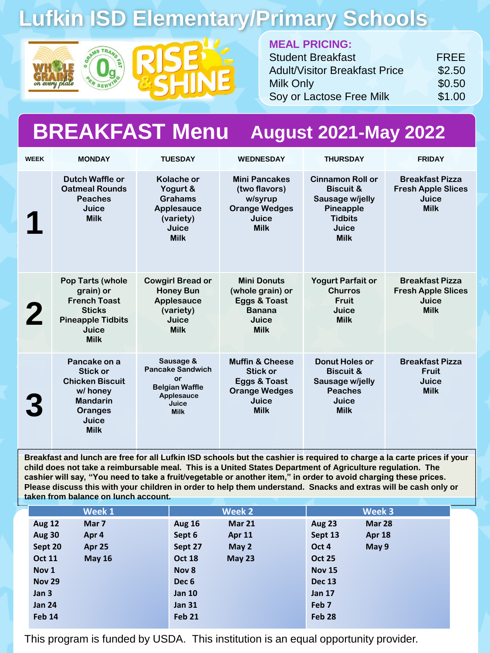# **Lufkin ISD Elementary/Primary Schools**





#### **MEAL PRICING:**

| <b>Student Breakfast</b>             | <b>FREE</b> |
|--------------------------------------|-------------|
| <b>Adult/Visitor Breakfast Price</b> | \$2.50      |
| <b>Milk Only</b>                     | \$0.50      |
| Soy or Lactose Free Milk             | \$1.00      |

#### **BREAKFAST Menu August 2021-May 2022**

| <b>WEEK</b> | <b>MONDAY</b>                                                                                                               | <b>TUESDAY</b>                                                                                            | <b>WEDNESDAY</b>                                                                                              | <b>THURSDAY</b>                                                                                                                  | <b>FRIDAY</b>                                                               |
|-------------|-----------------------------------------------------------------------------------------------------------------------------|-----------------------------------------------------------------------------------------------------------|---------------------------------------------------------------------------------------------------------------|----------------------------------------------------------------------------------------------------------------------------------|-----------------------------------------------------------------------------|
|             | Dutch Waffle or<br><b>Oatmeal Rounds</b><br><b>Peaches</b><br>Juice<br><b>Milk</b>                                          | Kolache or<br>Yogurt &<br><b>Grahams</b><br>Applesauce<br>(variety)<br>Juice<br><b>Milk</b>               | <b>Mini Pancakes</b><br>(two flavors)<br>w/syrup<br><b>Orange Wedges</b><br>Juice<br><b>Milk</b>              | <b>Cinnamon Roll or</b><br><b>Biscuit &amp;</b><br>Sausage w/jelly<br><b>Pineapple</b><br><b>Tidbits</b><br>Juice<br><b>Milk</b> | <b>Breakfast Pizza</b><br><b>Fresh Apple Slices</b><br>Juice<br><b>Milk</b> |
|             | Pop Tarts (whole<br>grain) or<br><b>French Toast</b><br><b>Sticks</b><br><b>Pineapple Tidbits</b><br>Juice<br><b>Milk</b>   | <b>Cowgirl Bread or</b><br><b>Honey Bun</b><br>Applesauce<br>(variety)<br>Juice<br><b>Milk</b>            | <b>Mini Donuts</b><br>(whole grain) or<br>Eggs & Toast<br><b>Banana</b><br>Juice<br><b>Milk</b>               | <b>Yogurt Parfait or</b><br><b>Churros</b><br><b>Fruit</b><br>Juice<br><b>Milk</b>                                               | <b>Breakfast Pizza</b><br><b>Fresh Apple Slices</b><br>Juice<br><b>Milk</b> |
|             | Pancake on a<br><b>Stick or</b><br><b>Chicken Biscuit</b><br>w/ honey<br><b>Mandarin</b><br>Oranges<br>Juice<br><b>Milk</b> | Sausage &<br><b>Pancake Sandwich</b><br>or<br><b>Belgian Waffle</b><br>Applesauce<br>Juice<br><b>Milk</b> | <b>Muffin &amp; Cheese</b><br><b>Stick or</b><br>Eggs & Toast<br><b>Orange Wedges</b><br>Juice<br><b>Milk</b> | <b>Donut Holes or</b><br><b>Biscuit &amp;</b><br>Sausage w/jelly<br><b>Peaches</b><br>Juice<br><b>Milk</b>                       | <b>Breakfast Pizza</b><br><b>Fruit</b><br>Juice<br><b>Milk</b>              |

**Breakfast and lunch are free for all Lufkin ISD schools but the cashier is required to charge a la carte prices if your child does not take a reimbursable meal. This is a United States Department of Agriculture regulation. The cashier will say, "You need to take a fruit/vegetable or another item," in order to avoid charging these prices. Please discuss this with your children in order to help them understand. Snacks and extras will be cash only or taken from balance on lunch account.** 

| Week 1                         | Week 2                  | Week 3                         |
|--------------------------------|-------------------------|--------------------------------|
| <b>Aug 12</b><br>Mar 7         | Mar 21<br><b>Aug 16</b> | <b>Aug 23</b><br><b>Mar 28</b> |
| <b>Aug 30</b><br>Apr 4         | Sept 6<br><b>Apr 11</b> | Sept 13<br><b>Apr 18</b>       |
| Sept 20<br>Apr 25              | May 2<br>Sept 27        | Oct 4<br>May $9$               |
| <b>Oct 11</b><br><b>May 16</b> | May 23<br><b>Oct 18</b> | <b>Oct 25</b>                  |
| Nov 1                          | Nov 8                   | <b>Nov 15</b>                  |
| <b>Nov 29</b>                  | Dec <sub>6</sub>        | <b>Dec 13</b>                  |
| Jan 3                          | <b>Jan 10</b>           | <b>Jan 17</b>                  |
| <b>Jan 24</b>                  | <b>Jan 31</b>           | Feb <sub>7</sub>               |
| Feb 14                         | Feb 21                  | Feb 28                         |

This program is funded by USDA. This institution is an equal opportunity provider.